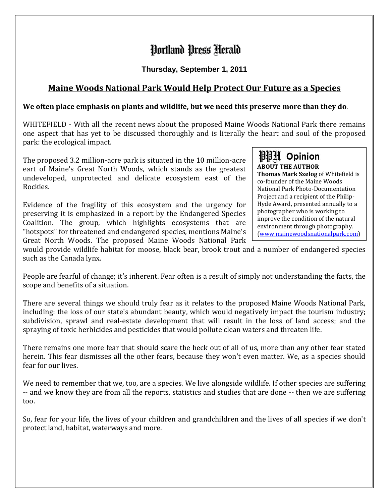## Portland Press Herald

**Thursday, September 1, 2011**

## **Maine Woods National Park Would Help Protect Our Future as a Species**

## **We often place emphasis on plants and wildlife, but we need this preserve more than they do.**

WHITEFIELD - With all the recent news about the proposed Maine Woods National Park there remains one aspect that has yet to be discussed thoroughly and is literally the heart and soul of the proposed park: the ecological impact.

The proposed 3.2 million-acre park is situated in the 10 million-acre eart of Maine's Great North Woods, which stands as the greatest undeveloped, unprotected and delicate ecosystem east of the Rockies.

Evidence of the fragility of this ecosystem and the urgency for preserving it is emphasized in a report by the Endangered Species Coalition. The group, which highlights ecosystems that are "hotspots" for threatened and endangered species, mentions Maine's Great North Woods. The proposed Maine Woods National Park

測測 Opinion **ABOUT THE AUTHOR Thomas Mark Szelog** of Whitefield is co-founder of the Maine Woods National Park Photo-Documentation Project and a recipient of the Philip-Hyde Award, presented annually to a photographer who is working to improve the condition of the natural environment through photography. [\(www.mainewoodsnationalpark.com\)](http://www.mainewoodsnationalpark.com/)

would provide wildlife habitat for moose, black bear, brook trout and a number of endangered species such as the Canada lynx.

People are fearful of change; it's inherent. Fear often is a result of simply not understanding the facts, the scope and benefits of a situation.

There are several things we should truly fear as it relates to the proposed Maine Woods National Park, including: the loss of our state's abundant beauty, which would negatively impact the tourism industry; subdivision, sprawl and real-estate development that will result in the loss of land access; and the spraying of toxic herbicides and pesticides that would pollute clean waters and threaten life.

There remains one more fear that should scare the heck out of all of us, more than any other fear stated herein. This fear dismisses all the other fears, because they won't even matter. We, as a species should fear for our lives.

We need to remember that we, too, are a species. We live alongside wildlife. If other species are suffering -- and we know they are from all the reports, statistics and studies that are done -- then we are suffering too.

So, fear for your life, the lives of your children and grandchildren and the lives of all species if we don't protect land, habitat, waterways and more.